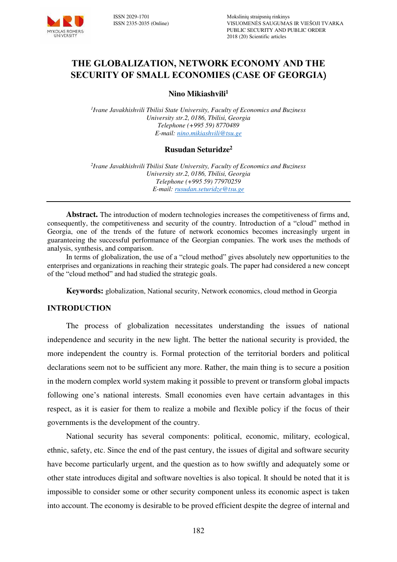

# **THE GLOBALIZATION, NETWORK ECONOMY AND THE SECURITY OF SMALL ECONOMIES (CASE OF GEORGIA**)

**Nino Mikiashvili<sup>1</sup>**

*1 Ivane Javakhishvili Tbilisi State University, Faculty of Economics and Buziness University str.2, 0186, Tbilisi, Georgia Telephone (+995 59) 8770489 E-mail[: nino.mikiashvili@tsu.ge](mailto:nino.mikiashvili@tsu.ge)* 

### **Rusudan Seturidze<sup>2</sup>**

*2 Ivane Javakhishvili Tbilisi State University, Faculty of Economics and Buziness University str.2, 0186, Tbilisi, Georgia Telephone (+995 59) 77970259 E-mail: [rusudan.seturidze@tsu.ge](mailto:rusudan.seturidze@tsu.ge)* 

**Abstract.** The introduction of modern technologies increases the competitiveness of firms and, consequently, the competitiveness and security of the country. Introduction of a "cloud" method in Georgia, one of the trends of the future of network economics becomes increasingly urgent in guaranteeing the successful performance of the Georgian companies. The work uses the methods of analysis, synthesis, and comparison.

In terms of globalization, the use of a "cloud method" gives absolutely new opportunities to the enterprises and organizations in reaching their strategic goals. The paper had considered a new concept of the "cloud method" and had studied the strategic goals.

**Keywords:** globalization, National security, Network economics, cloud method in Georgia

#### **INTRODUCTION**

The process of globalization necessitates understanding the issues of national independence and security in the new light. The better the national security is provided, the more independent the country is. Formal protection of the territorial borders and political declarations seem not to be sufficient any more. Rather, the main thing is to secure a position in the modern complex world system making it possible to prevent or transform global impacts following one's national interests. Small economies even have certain advantages in this respect, as it is easier for them to realize a mobile and flexible policy if the focus of their governments is the development of the country.

National security has several components: political, economic, military, ecological, ethnic, safety, etc. Since the end of the past century, the issues of digital and software security have become particularly urgent, and the question as to how swiftly and adequately some or other state introduces digital and software novelties is also topical. It should be noted that it is impossible to consider some or other security component unless its economic aspect is taken into account. The economy is desirable to be proved efficient despite the degree of internal and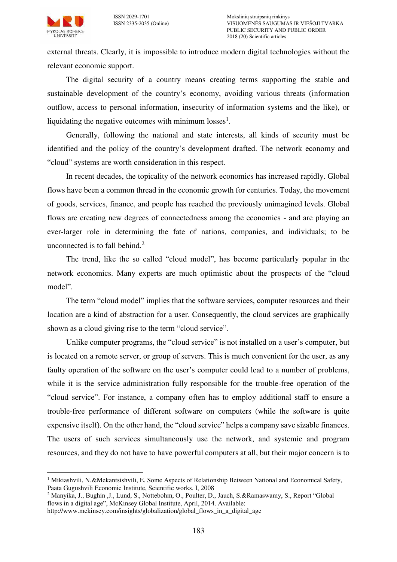MYKOLAS ROMERIS<br>UNIVERSITY



external threats. Clearly, it is impossible to introduce modern digital technologies without the relevant economic support.

The digital security of a country means creating terms supporting the stable and sustainable development of the country's economy, avoiding various threats (information outflow, access to personal information, insecurity of information systems and the like), or liquidating the negative outcomes with minimum losses<sup>1</sup>.

Generally, following the national and state interests, all kinds of security must be identified and the policy of the country's development drafted. The network economy and "cloud" systems are worth consideration in this respect.

In recent decades, the topicality of the network economics has increased rapidly. Global flows have been a common thread in the economic growth for centuries. Today, the movement of goods, services, finance, and people has reached the previously unimagined levels. Global flows are creating new degrees of connectedness among the economies - and are playing an ever-larger role in determining the fate of nations, companies, and individuals; to be unconnected is to fall behind. $<sup>2</sup>$ </sup>

The trend, like the so called "cloud model", has become particularly popular in the network economics. Many experts are much optimistic about the prospects of the "cloud model".

The term "cloud model" implies that the software services, computer resources and their location are a kind of abstraction for a user. Consequently, the cloud services are graphically shown as a cloud giving rise to the term "cloud service".

Unlike computer programs, the "cloud service" is not installed on a user's computer, but is located on a remote server, or group of servers. This is much convenient for the user, as any faulty operation of the software on the user's computer could lead to a number of problems, while it is the service administration fully responsible for the trouble-free operation of the "cloud service". For instance, a company often has to employ additional staff to ensure a trouble-free performance of different software on computers (while the software is quite expensive itself). On the other hand, the "cloud service" helps a company save sizable finances. The users of such services simultaneously use the network, and systemic and program resources, and they do not have to have powerful computers at all, but their major concern is to

<sup>&</sup>lt;sup>1</sup> Mikiashvili, N.&Mekantsishvili, E. Some Aspects of Relationship Between National and Economical Safety, Paata Gugushvili Economic Institute, Scientific works. I, 2008

<sup>2</sup> Manyika, J., Bughin ,J., Lund, S., Nottebohm, O., Poulter, D., Jauch, S.&Ramaswamy, S., Report "Global flows in a digital age", McKinsey Global Institute, April, 2014. Available:

[http://www.mckinsey.com/insights/globalization/global\\_flows\\_in\\_a\\_digital\\_age](http://www.mckinsey.com/insights/globalization/global_flows_in_a_digital_age)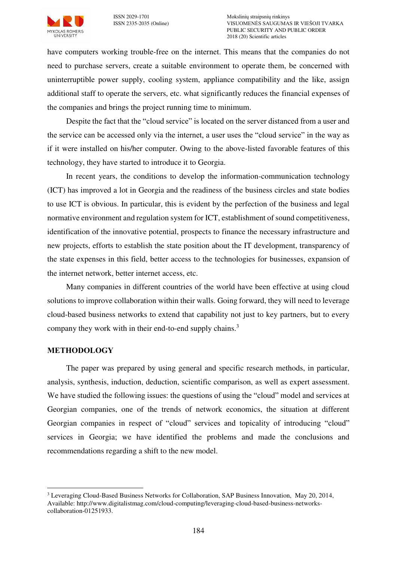

have computers working trouble-free on the internet. This means that the companies do not need to purchase servers, create a suitable environment to operate them, be concerned with uninterruptible power supply, cooling system, appliance compatibility and the like, assign additional staff to operate the servers, etc. what significantly reduces the financial expenses of the companies and brings the project running time to minimum.

Despite the fact that the "cloud service" is located on the server distanced from a user and the service can be accessed only via the internet, a user uses the "cloud service" in the way as if it were installed on his/her computer. Owing to the above-listed favorable features of this technology, they have started to introduce it to Georgia.

In recent years, the conditions to develop the information-communication technology (ICT) has improved a lot in Georgia and the readiness of the business circles and state bodies to use ICT is obvious. In particular, this is evident by the perfection of the business and legal normative environment and regulation system for ICT, establishment of sound competitiveness, identification of the innovative potential, prospects to finance the necessary infrastructure and new projects, efforts to establish the state position about the IT development, transparency of the state expenses in this field, better access to the technologies for businesses, expansion of the internet network, better internet access, etc.

Many companies in different countries of the world have been effective at using cloud solutions to improve collaboration within their walls. Going forward, they will need to leverage cloud-based business networks to extend that capability not just to key partners, but to every company they work with in their end-to-end supply chains.<sup>3</sup>

### **METHODOLOGY**

 $\overline{a}$ 

The paper was prepared by using general and specific research methods, in particular, analysis, synthesis, induction, deduction, scientific comparison, as well as expert assessment. We have studied the following issues: the questions of using the "cloud" model and services at Georgian companies, one of the trends of network economics, the situation at different Georgian companies in respect of "cloud" services and topicality of introducing "cloud" services in Georgia; we have identified the problems and made the conclusions and recommendations regarding a shift to the new model.

<sup>&</sup>lt;sup>3</sup> Leveraging Cloud-Based Business Networks for Collaboration, SAP Business Innovation, May 20, 2014, Available: http://www.digitalistmag.com/cloud-computing/leveraging-cloud-based-business-networkscollaboration-01251933.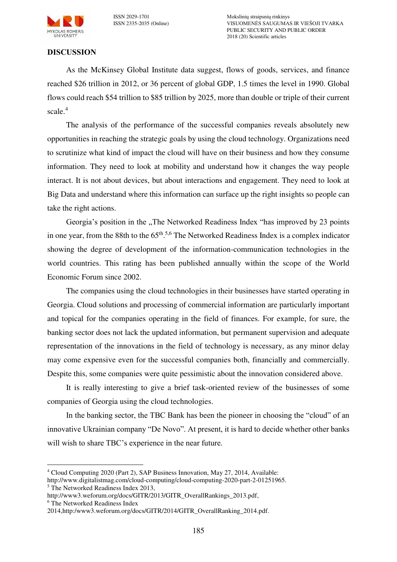

ISSN 2029-1701 Mokslinių straipsnių rinkinys VISUOMENĖS SAUGUMAS IR VIEŠOJI TVARKA PUBLIC SECURITY AND PUBLIC ORDER 2018 (20) Scientific articles

### **DISCUSSION**

As the McKinsey Global Institute data suggest, flows of goods, services, and finance reached \$26 trillion in 2012, or 36 percent of global GDP, 1.5 times the level in 1990. Global flows could reach \$54 trillion to \$85 trillion by 2025, more than double or triple of their current scale.<sup>4</sup>

The analysis of the performance of the successful companies reveals absolutely new opportunities in reaching the strategic goals by using the cloud technology. Organizations need to scrutinize what kind of impact the cloud will have on their business and how they consume information. They need to look at mobility and understand how it changes the way people interact. It is not about devices, but about interactions and engagement. They need to look at Big Data and understand where this information can surface up the right insights so people can take the right actions.

Georgia's position in the "The Networked Readiness Index "has improved by 23 points in one year, from the 88th to the 65<sup>th</sup>.<sup>5,6</sup> The Networked Readiness Index is a complex indicator showing the degree of development of the information-communication technologies in the world countries. This rating has been published annually within the scope of the World Economic Forum since 2002.

The companies using the cloud technologies in their businesses have started operating in Georgia. Cloud solutions and processing of commercial information are particularly important and topical for the companies operating in the field of finances. For example, for sure, the banking sector does not lack the updated information, but permanent supervision and adequate representation of the innovations in the field of technology is necessary, as any minor delay may come expensive even for the successful companies both, financially and commercially. Despite this, some companies were quite pessimistic about the innovation considered above.

It is really interesting to give a brief task-oriented review of the businesses of some companies of Georgia using the cloud technologies.

In the banking sector, the TBC Bank has been the pioneer in choosing the "cloud" of an innovative Ukrainian company "De Novo". At present, it is hard to decide whether other banks will wish to share TBC's experience in the near future.

<sup>4</sup> Cloud Computing 2020 (Part 2), SAP Business Innovation, May 27, 2014, Available:

http://www.digitalistmag.com/cloud-computing/cloud-computing-2020-part-2-01251965. 5 The Networked Readiness Index 2013,

[http://www3.weforum.org/docs/GITR/2013/GITR\\_OverallRankings\\_2013.pdf,](http://www3.weforum.org/docs/GITR/2013/GITR_OverallRankings_2013.pdf)

<sup>6</sup> The Networked Readiness Index

<sup>201</sup>[4,http:/www3.weforum.org/docs/GITR/2014/GITR\\_OverallRanking\\_2014.pdf.](http://www3.weforum.org/docs/GITR/2014/GITR_OverallRanking_2014.pdf)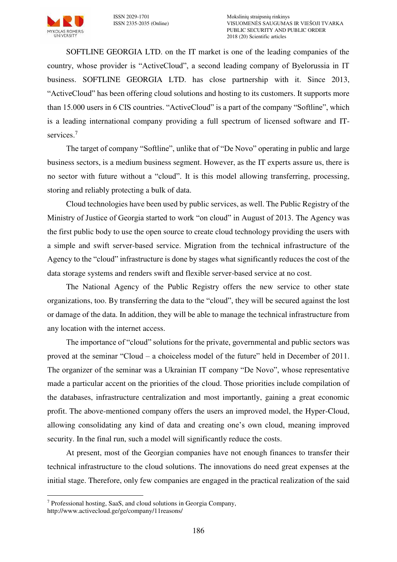

SOFTLINE GEORGIA LTD. on the IT market is one of the leading companies of the country, whose provider is "ActiveCloud", a second leading company of Byelorussia in IT business. SOFTLINE GEORGIA LTD. has close partnership with it. Since 2013, "ActiveCloud" has been offering cloud solutions and hosting to its customers. It supports more than 15.000 users in 6 CIS countries. "ActiveCloud" is a part of the company "Softline", which is a leading international company providing a full spectrum of licensed software and ITservices.<sup>7</sup>

The target of company "Softline", unlike that of "De Novo" operating in public and large business sectors, is a medium business segment. However, as the IT experts assure us, there is no sector with future without a "cloud". It is this model allowing transferring, processing, storing and reliably protecting a bulk of data.

Cloud technologies have been used by public services, as well. The Public Registry of the Ministry of Justice of Georgia started to work "on cloud" in August of 2013. The Agency was the first public body to use the open source to create cloud technology providing the users with a simple and swift server-based service. Migration from the technical infrastructure of the Agency to the "cloud" infrastructure is done by stages what significantly reduces the cost of the data storage systems and renders swift and flexible server-based service at no cost.

The National Agency of the Public Registry offers the new service to other state organizations, too. By transferring the data to the "cloud", they will be secured against the lost or damage of the data. In addition, they will be able to manage the technical infrastructure from any location with the internet access.

The importance of "cloud" solutions for the private, governmental and public sectors was proved at the seminar "Cloud – a choiceless model of the future" held in December of 2011. The organizer of the seminar was a Ukrainian IT company "De Novo", whose representative made a particular accent on the priorities of the cloud. Those priorities include compilation of the databases, infrastructure centralization and most importantly, gaining a great economic profit. The above-mentioned company offers the users an improved model, the Hyper-Cloud, allowing consolidating any kind of data and creating one's own cloud, meaning improved security. In the final run, such a model will significantly reduce the costs.

At present, most of the Georgian companies have not enough finances to transfer their technical infrastructure to the cloud solutions. The innovations do need great expenses at the initial stage. Therefore, only few companies are engaged in the practical realization of the said

<sup>7</sup> Professional hosting, SaaS, and cloud solutions in Georgia Company,

<http://www.activecloud.ge/ge/company/11reasons/>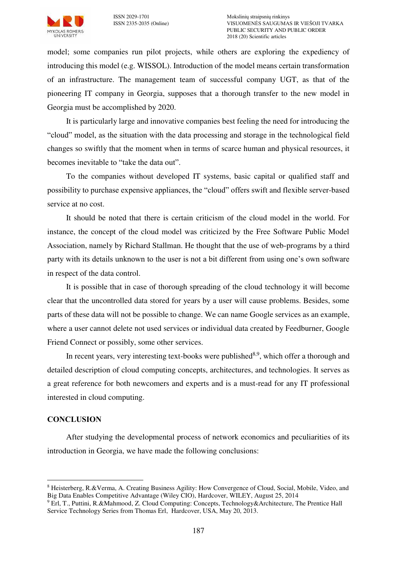

model; some companies run pilot projects, while others are exploring the expediency of introducing this model (e.g. WISSOL). Introduction of the model means certain transformation of an infrastructure. The management team of successful company UGT, as that of the pioneering IT company in Georgia, supposes that a thorough transfer to the new model in Georgia must be accomplished by 2020.

It is particularly large and innovative companies best feeling the need for introducing the "cloud" model, as the situation with the data processing and storage in the technological field changes so swiftly that the moment when in terms of scarce human and physical resources, it becomes inevitable to "take the data out".

To the companies without developed IT systems, basic capital or qualified staff and possibility to purchase expensive appliances, the "cloud" offers swift and flexible server-based service at no cost.

It should be noted that there is certain criticism of the cloud model in the world. For instance, the concept of the cloud model was criticized by the Free Software Public Model Association, namely by Richard Stallman. He thought that the use of web-programs by a third party with its details unknown to the user is not a bit different from using one's own software in respect of the data control.

It is possible that in case of thorough spreading of the cloud technology it will become clear that the uncontrolled data stored for years by a user will cause problems. Besides, some parts of these data will not be possible to change. We can name Google services as an example, where a user cannot delete not used services or individual data created by Feedburner, Google Friend Connect or possibly, some other services.

In recent years, very interesting text-books were published $8.9$ , which offer a thorough and detailed description of cloud computing concepts, architectures, and technologies. It serves as a great reference for both newcomers and experts and is a must-read for any IT professional interested in cloud computing.

### **CONCLUSION**

 $\overline{a}$ 

After studying the developmental process of network economics and peculiarities of its introduction in Georgia, we have made the following conclusions:

<sup>8</sup>  [Heisterberg,](http://www.amazon.com/s/ref=dp_byline_sr_book_1?ie=UTF8&field-author=Rodney+Heisterberg&search-alias=books&text=Rodney+Heisterberg&sort=relevancerank) R.[&Verma,](http://www.amazon.com/s/ref=dp_byline_sr_book_2?ie=UTF8&field-author=Alakh+Verma&search-alias=books&text=Alakh+Verma&sort=relevancerank) A. Creating Business Agility: How Convergence of Cloud, Social, Mobile, Video, and Big Data Enables Competitive Advantage (Wiley CIO), Hardcover, WILEY, August 25, 2014

<sup>&</sup>lt;sup>9</sup> [Erl,](http://www.amazon.com/Thomas-Erl/e/B001IGOVVY/ref=sr_ntt_srch_lnk_1?qid=1402245802&sr=1-1) T.[, Puttini,](http://www.amazon.com/Ricardo-Puttini/e/B00B29RIPS/ref=sr_ntt_srch_lnk_1?qid=1402245802&sr=1-1) R.[&Mahmood,](http://www.amazon.com/Zaigham-Mahmood/e/B00B29OIK6/ref=sr_ntt_srch_lnk_1?qid=1402245802&sr=1-1) Z. Cloud Computing: Concepts, Technology&Architecture, The Prentice Hall [Service Technology Series from Thomas Erl,](http://www.amazon.com/Cloud-Computing-Concepts-Technology-Architecture/dp/0133387526/ref=sr_1_1?s=books&ie=UTF8&qid=1402245802&sr=1-1&keywords=cloud+computing+books) Hardcover, USA, May 20, 2013.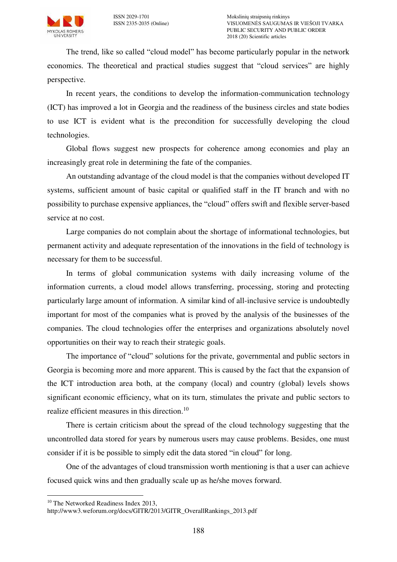

The trend, like so called "cloud model" has become particularly popular in the network economics. The theoretical and practical studies suggest that "cloud services" are highly perspective.

In recent years, the conditions to develop the information-communication technology (ICT) has improved a lot in Georgia and the readiness of the business circles and state bodies to use ICT is evident what is the precondition for successfully developing the cloud technologies.

Global flows suggest new prospects for coherence among economies and play an increasingly great role in determining the fate of the companies.

An outstanding advantage of the cloud model is that the companies without developed IT systems, sufficient amount of basic capital or qualified staff in the IT branch and with no possibility to purchase expensive appliances, the "cloud" offers swift and flexible server-based service at no cost.

Large companies do not complain about the shortage of informational technologies, but permanent activity and adequate representation of the innovations in the field of technology is necessary for them to be successful.

In terms of global communication systems with daily increasing volume of the information currents, a cloud model allows transferring, processing, storing and protecting particularly large amount of information. A similar kind of all-inclusive service is undoubtedly important for most of the companies what is proved by the analysis of the businesses of the companies. The cloud technologies offer the enterprises and organizations absolutely novel opportunities on their way to reach their strategic goals.

The importance of "cloud" solutions for the private, governmental and public sectors in Georgia is becoming more and more apparent. This is caused by the fact that the expansion of the ICT introduction area both, at the company (local) and country (global) levels shows significant economic efficiency, what on its turn, stimulates the private and public sectors to realize efficient measures in this direction.<sup>10</sup>

There is certain criticism about the spread of the cloud technology suggesting that the uncontrolled data stored for years by numerous users may cause problems. Besides, one must consider if it is be possible to simply edit the data stored "in cloud" for long.

One of the advantages of cloud transmission worth mentioning is that a user can achieve focused quick wins and then gradually scale up as he/she moves forward.

<sup>&</sup>lt;sup>10</sup> The Networked Readiness Index 2013,

[http://www3.weforum.org/docs/GITR/2013/GITR\\_OverallRankings\\_2013.pdf](http://www3.weforum.org/docs/GITR/2013/GITR_OverallRankings_2013.pdf)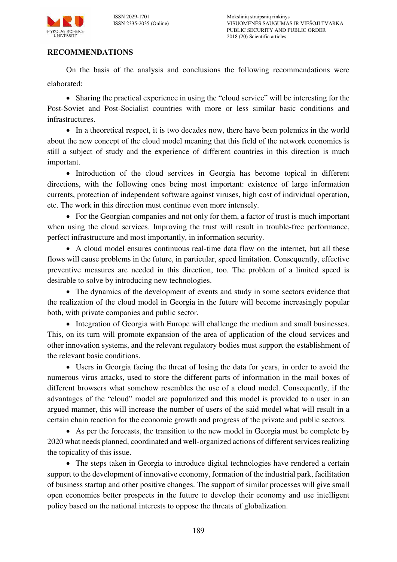

ISSN 2029-1701 Mokslinių straipsnių rinkinys ISSN 2335-2035 (Online) VISUOMENĖS SAUGUMAS IR VIEŠOJI TVARKA PUBLIC SECURITY AND PUBLIC ORDER 2018 (20) Scientific articles

### **RECOMMENDATIONS**

On the basis of the analysis and conclusions the following recommendations were elaborated:

 Sharing the practical experience in using the "cloud service" will be interesting for the Post-Soviet and Post-Socialist countries with more or less similar basic conditions and infrastructures.

• In a theoretical respect, it is two decades now, there have been polemics in the world about the new concept of the cloud model meaning that this field of the network economics is still a subject of study and the experience of different countries in this direction is much important.

• Introduction of the cloud services in Georgia has become topical in different directions, with the following ones being most important: existence of large information currents, protection of independent software against viruses, high cost of individual operation, etc. The work in this direction must continue even more intensely.

• For the Georgian companies and not only for them, a factor of trust is much important when using the cloud services. Improving the trust will result in trouble-free performance, perfect infrastructure and most importantly, in information security.

 A cloud model ensures continuous real-time data flow on the internet, but all these flows will cause problems in the future, in particular, speed limitation. Consequently, effective preventive measures are needed in this direction, too. The problem of a limited speed is desirable to solve by introducing new technologies.

• The dynamics of the development of events and study in some sectors evidence that the realization of the cloud model in Georgia in the future will become increasingly popular both, with private companies and public sector.

• Integration of Georgia with Europe will challenge the medium and small businesses. This, on its turn will promote expansion of the area of application of the cloud services and other innovation systems, and the relevant regulatory bodies must support the establishment of the relevant basic conditions.

 Users in Georgia facing the threat of losing the data for years, in order to avoid the numerous virus attacks, used to store the different parts of information in the mail boxes of different browsers what somehow resembles the use of a cloud model. Consequently, if the advantages of the "cloud" model are popularized and this model is provided to a user in an argued manner, this will increase the number of users of the said model what will result in a certain chain reaction for the economic growth and progress of the private and public sectors.

 As per the forecasts, the transition to the new model in Georgia must be complete by 2020 what needs planned, coordinated and well-organized actions of different services realizing the topicality of this issue.

• The steps taken in Georgia to introduce digital technologies have rendered a certain support to the development of innovative economy, formation of the industrial park, facilitation of business startup and other positive changes. The support of similar processes will give small open economies better prospects in the future to develop their economy and use intelligent policy based on the national interests to oppose the threats of globalization.